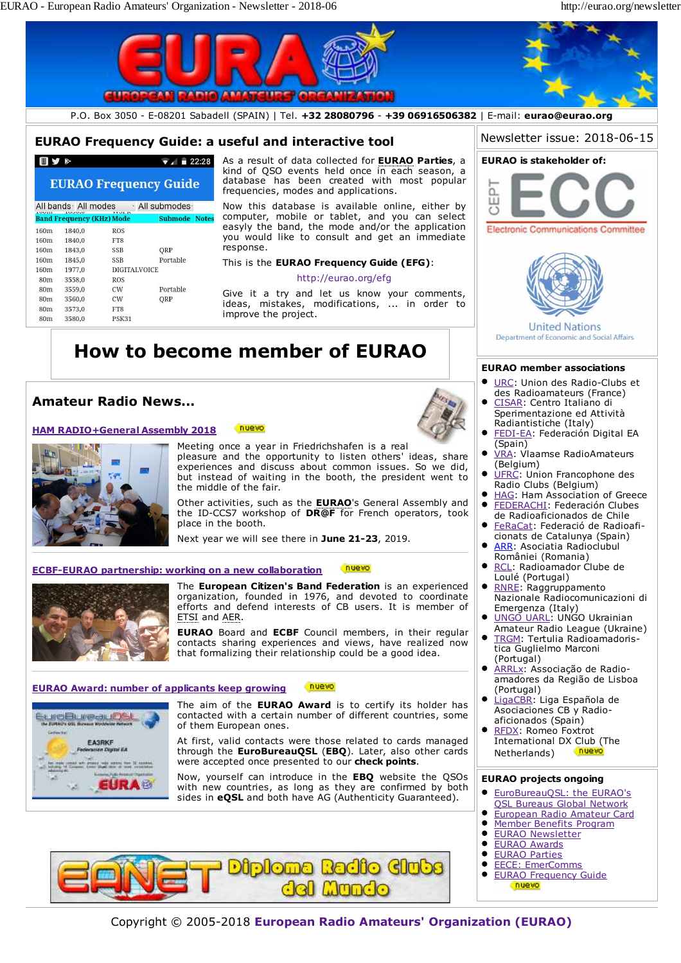